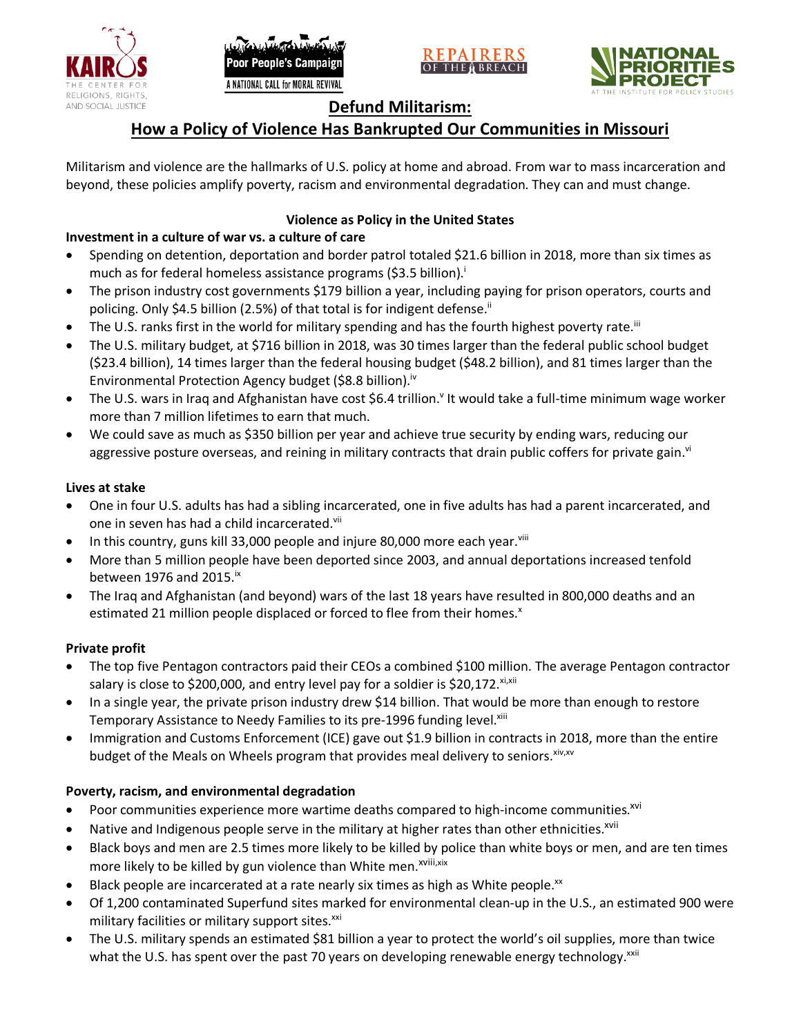





# **Defund Militarism:**

# **How a Policy of Violence Has Bankrupted Our Communities in Missouri**

Militarism and violence are the hallmarks of U.S. policy at home and abroad. From war to mass incarceration and beyond, these policies amplify poverty, racism and environmental degradation. They can and must change.

# **Violence as Policy in the United States**

# **Investment in a culture of war vs. a culture of care**

- Spending on detention, deportation and border patrol totaled \$21.6 billion in 2018, more than six times as much as for federal homeless assistance programs (\$3.5 billion).<sup>i</sup>
- The prison industry cost governments \$179 billion a year, including paying for prison operators, courts and policing. Only \$4.5 billion (2.5%) of that total is for indigent defense.<sup>ii</sup>
- The U.S. ranks first in the world for military spending and has the fourth highest poverty rate.<sup>iii</sup>
- The U.S. military budget, at \$716 billion in 2018, was 30 times larger than the federal public school budget (\$23.4 billion), 14 times larger than the federal housing budget (\$48.2 billion), and 81 times larger than the Environmental Protection Agency budget (\$8.8 billion).<sup>iv</sup>
- The U.S. wars in Iraq and Afghanistan have cost \$6.4 trillion.<sup>v</sup> It would take a full-time minimum wage worker more than 7 million lifetimes to earn that much.
- We could save as much as \$350 billion per year and achieve true security by ending wars, reducing our aggressive posture overseas, and reining in military contracts that drain public coffers for private gain.<sup>vi</sup>

### **Lives at stake**

- One in four U.S. adults has had a sibling incarcerated, one in five adults has had a parent incarcerated, and one in seven has had a child incarcerated.vii
- In this country, guns kill 33,000 people and injure 80,000 more each year. $v_{\text{lin}}$
- More than 5 million people have been deported since 2003, and annual deportations increased tenfold between 1976 and 2015. $\mathrm{i}$ <sup>x</sup>
- The Iraq and Afghanistan (and beyond) wars of the last 18 years have resulted in 800,000 deaths and an estimated 21 million people displaced or forced to flee from their homes.<sup>x</sup>

#### **Private profit**

- The top five Pentagon contractors paid their CEOs a combined \$100 million. The average Pentagon contractor salary is close to \$200,000, and entry level pay for a soldier is \$20,172. xi,xii
- In a single year, the private prison industry drew \$14 billion. That would be more than enough to restore Temporary Assistance to Needy Families to its pre-1996 funding level.<sup>xiii</sup>
- Immigration and Customs Enforcement (ICE) gave out \$1.9 billion in contracts in 2018, more than the entire budget of the Meals on Wheels program that provides meal delivery to seniors. Xiv, XV

### **Poverty, racism, and environmental degradation**

- Poor communities experience more wartime deaths compared to high-income communities.<sup>xvi</sup>
- Native and Indigenous people serve in the military at higher rates than other ethnicities.<sup>xvii</sup>
- Black boys and men are 2.5 times more likely to be killed by police than white boys or men, and are ten times more likely to be killed by gun violence than White men.<sup>xviii,xix</sup>
- Black people are incarcerated at a rate nearly six times as high as White people.<sup>xx</sup>
- Of 1,200 contaminated Superfund sites marked for environmental clean-up in the U.S., an estimated 900 were military facilities or military support sites.<sup>xxi</sup>
- The U.S. military spends an estimated \$81 billion a year to protect the world's oil supplies, more than twice what the U.S. has spent over the past 70 years on developing renewable energy technology.<sup>xxii</sup>